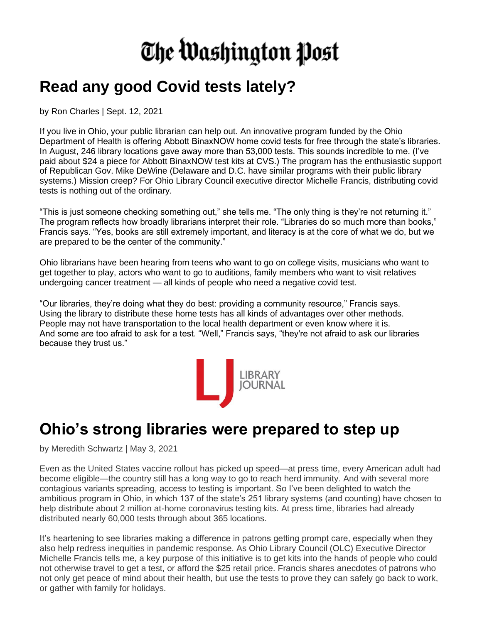## The Washington Post

## **Read any good Covid tests lately?**

by Ron Charles | Sept. 12, 2021

If you live in Ohio, your public librarian can help out. An innovative program funded by the Ohio Department of Health is offering Abbott BinaxNOW home covid tests for free through the state's libraries. In August, 246 library locations gave away more than 53,000 tests. This sounds incredible to me. (I've paid about \$24 a piece for Abbott BinaxNOW test kits at CVS.) The program has the enthusiastic support of Republican Gov. Mike DeWine (Delaware and D.C. have similar programs with their public library systems.) Mission creep? For Ohio Library Council executive director Michelle Francis, distributing covid tests is nothing out of the ordinary.

"This is just someone checking something out," she tells me. "The only thing is they're not returning it." The program reflects how broadly librarians interpret their role. "Libraries do so much more than books," Francis says. "Yes, books are still extremely important, and literacy is at the core of what we do, but we are prepared to be the center of the community."

Ohio librarians have been hearing from teens who want to go on college visits, musicians who want to get together to play, actors who want to go to auditions, family members who want to visit relatives undergoing cancer treatment — all kinds of people who need a negative covid test.

"Our libraries, they're doing what they do best: providing a community resource," Francis says. Using the library to distribute these home tests has all kinds of advantages over other methods. People may not have transportation to the local health department or even know where it is. And some are too afraid to ask for a test. "Well," Francis says, "they're not afraid to ask our libraries because they trust us."



## **Ohio's strong libraries were prepared to step up**

by [Meredith Schwartz](https://www.libraryjournal.com/?authorName=Meredith%20Schwartz) | May 3, 2021

Even as the United States vaccine rollout has picked up speed—at press time, every American adult had become eligible—the country still has a long way to go to reach herd immunity. And with several more contagious variants spreading, access to testing is important. So I've been delighted to watch the ambitious program in Ohio, in which 137 of the state's 251 library systems (and counting) have chosen to help distribute about 2 million at-home coronavirus testing kits. At press time, libraries had already distributed nearly 60,000 tests through about 365 locations.

It's heartening to see libraries making a difference in patrons getting prompt care, especially when they also help redress inequities in pandemic response. As Ohio Library Council (OLC) Executive Director Michelle Francis tells me, a key purpose of this initiative is to get kits into the hands of people who could not otherwise travel to get a test, or afford the \$25 retail price. Francis shares anecdotes of patrons who not only get peace of mind about their health, but use the tests to prove they can safely go back to work, or gather with family for holidays.